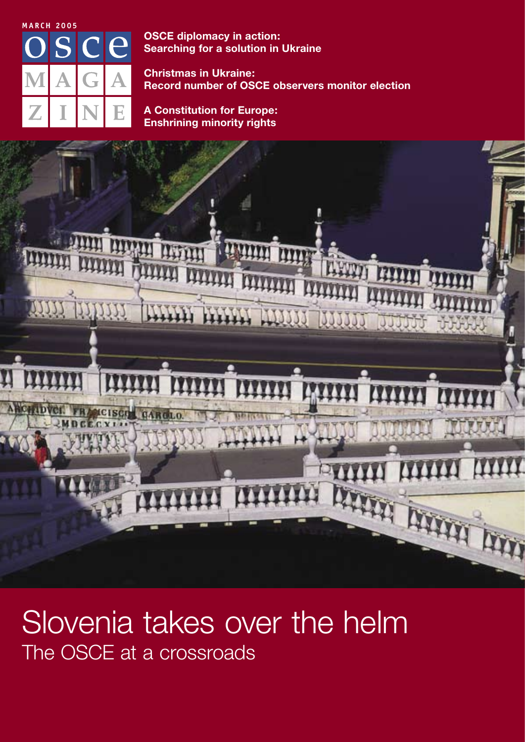

**OSCE** diplomacy in action: **Searching for a solution in Ukraine** 

**Christmas in Ukraine: Record number of OSCE observers monitor election** 

**A Constitution for Europe: Enshrining minority rights** 



## Slovenia takes over the helm The OSCE at a crossroads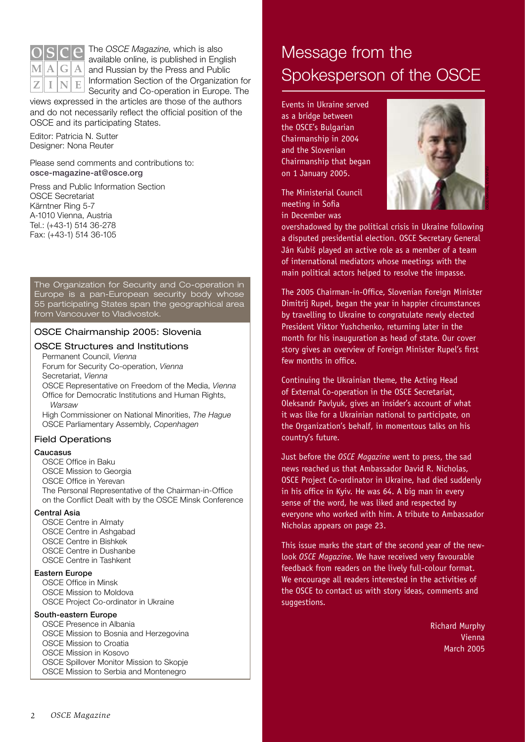

The OSCE Magazine, which is also available online, is published in English and Russian by the Press and Public Information Section of the Organization for Security and Co-operation in Europe. The

views expressed in the articles are those of the authors and do not necessarily reflect the official position of the OSCE and its participating States.

Editor: Patricia N. Sutter Designer: Nona Reuter

Please send comments and contributions to: osce-magazine-at@osce.org

Press and Public Information Section **OSCE Secretariat** Kärntner Ring 5-7 A-1010 Vienna, Austria Tel.: (+43-1) 514 36-278 Fax: (+43-1) 514 36-105

The Organization for Security and Co-operation in Europe is a pan-European security body whose 55 participating States span the geographical area from Vancouver to Vladivostok.

### OSCE Chairmanship 2005: Slovenia

### **OSCE Structures and Institutions**

Permanent Council, Vienna Forum for Security Co-operation, Vienna Secretariat, Vienna OSCE Representative on Freedom of the Media, Vienna

Office for Democratic Institutions and Human Rights, Warsaw

High Commissioner on National Minorities, The Hague OSCE Parliamentary Assembly, Copenhagen

### **Field Operations**

#### Caucasus

OSCE Office in Baku

- **OSCE Mission to Georgia**
- OSCE Office in Yerevan

The Personal Representative of the Chairman-in-Office on the Conflict Dealt with by the OSCE Minsk Conference

### Central Asia

**OSCE Centre in Almaty** OSCE Centre in Ashgabad **OSCE Centre in Bishkek** OSCE Centre in Dushanbe **OSCE Centre in Tashkent** 

### **Eastern Europe**

**OSCE Office in Minsk** OSCE Mission to Moldova

OSCE Project Co-ordinator in Ukraine

### South-eastern Europe

OSCE Presence in Albania OSCE Mission to Bosnia and Herzegovina OSCE Mission to Croatia OSCE Mission in Kosovo OSCE Spillover Monitor Mission to Skopje OSCE Mission to Serbia and Montenegro

## Message from the Spokesperson of the OSCE

Events in Ukraine served as a bridge between the OSCE's Bulgarian Chairmanship in 2004 and the Slovenian Chairmanship that began on 1 January 2005.

The Ministerial Council meeting in Sofia in December was



overshadowed by the political crisis in Ukraine following a disputed presidential election. OSCE Secretary General Ján Kubiš played an active role as a member of a team of international mediators whose meetings with the main political actors helped to resolve the impasse.

The 2005 Chairman-in-Office, Slovenian Foreign Minister Dimitrij Rupel, began the year in happier circumstances by travelling to Ukraine to congratulate newly elected President Viktor Yushchenko, returning later in the month for his inauguration as head of state. Our cover story gives an overview of Foreign Minister Rupel's first few months in office.

Continuing the Ukrainian theme, the Acting Head of External Co-operation in the OSCE Secretariat. Oleksandr Pavlyuk, gives an insider's account of what it was like for a Ukrainian national to participate, on the Organization's behalf, in momentous talks on his country's future.

Just before the OSCE Magazine went to press, the sad news reached us that Ambassador David R. Nicholas. OSCE Project Co-ordinator in Ukraine, had died suddenly in his office in Kyiv. He was 64. A big man in every sense of the word, he was liked and respected by everyone who worked with him. A tribute to Ambassador Nicholas appears on page 23.

This issue marks the start of the second year of the newlook OSCE Magazine. We have received very favourable feedback from readers on the lively full-colour format. We encourage all readers interested in the activities of the OSCE to contact us with story ideas, comments and suggestions.

> **Richard Murphy** Vienna **March 2005**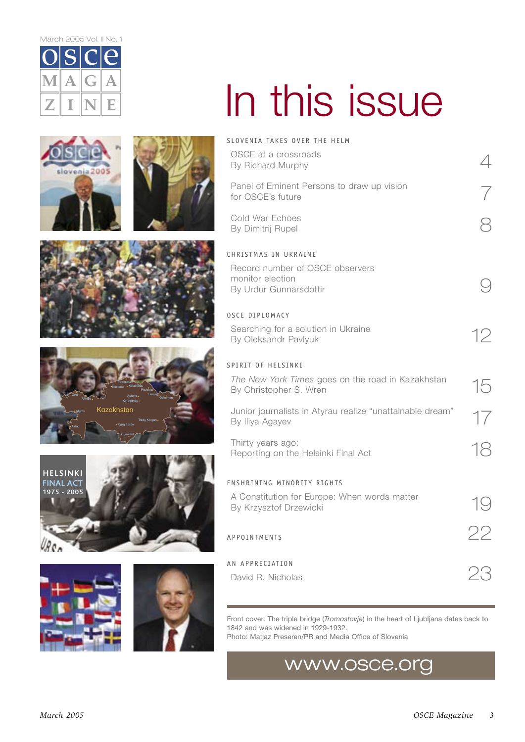March 2005 Vol. II No. 1



slovenia

 $2005$ 

# In this issue

|  | SLOVENIA TAKES OVER THE HELM                                                                                                                                                         |    |
|--|--------------------------------------------------------------------------------------------------------------------------------------------------------------------------------------|----|
|  | OSCE at a crossroads<br>By Richard Murphy                                                                                                                                            |    |
|  | Panel of Eminent Persons to draw up vision<br>for OSCE's future                                                                                                                      |    |
|  | Cold War Echoes<br>By Dimitrij Rupel                                                                                                                                                 |    |
|  | CHRISTMAS IN UKRAINE                                                                                                                                                                 |    |
|  | Record number of OSCE observers<br>monitor election<br>By Urdur Gunnarsdottir                                                                                                        |    |
|  | <b>OSCE DIPLOMACY</b>                                                                                                                                                                |    |
|  | Searching for a solution in Ukraine<br>By Oleksandr Pavlyuk                                                                                                                          | 12 |
|  | SPIRIT OF HELSINKI                                                                                                                                                                   |    |
|  | The New York Times goes on the road in Kazakhstan<br>By Christopher S. Wren                                                                                                          | 15 |
|  | Junior journalists in Atyrau realize "unattainable dream"<br>By Iliya Agayev                                                                                                         | 17 |
|  | Thirty years ago:<br>Reporting on the Helsinki Final Act                                                                                                                             | 18 |
|  | ENSHRINING MINORITY RIGHTS                                                                                                                                                           |    |
|  | A Constitution for Europe: When words matter<br>By Krzysztof Drzewicki                                                                                                               |    |
|  | APPOINTMENTS                                                                                                                                                                         |    |
|  | AN APPRECIATION                                                                                                                                                                      |    |
|  | David R. Nicholas                                                                                                                                                                    |    |
|  |                                                                                                                                                                                      |    |
|  | Front cover: The triple bridge (Tromostovje) in the heart of Ljubljana dates back to<br>1842 and was widened in 1929-1932.<br>Photo: Matjaz Preseren/PR and Media Office of Slovenia |    |

## www.osce.org







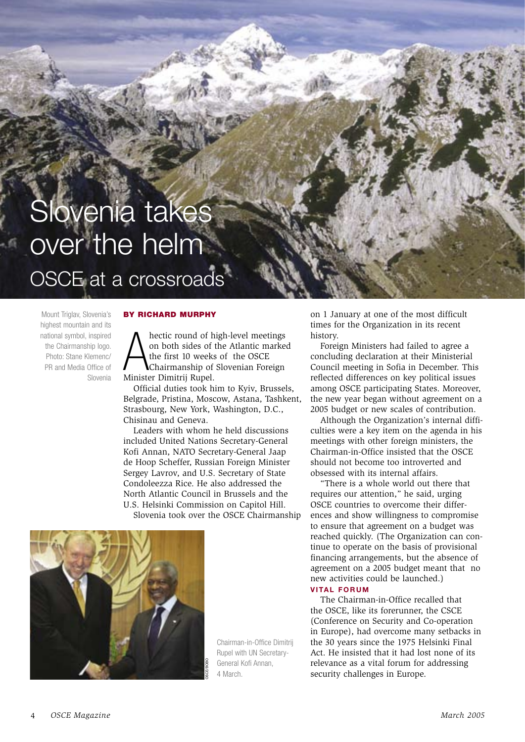# Slovenia takes over the helm

OSCE at a crossroads

Mount Triglav, Slovenia's highest mountain and its national symbol, inspired the Chairmanship logo. Photo: Stane Klemenc/ PR and Media Office of Slovenia

### **BY RICHARD MURPHY**

hectic round of high-level meetings on both sides of the Atlantic marked the first 10 weeks of the OSCE Chairmanship of Slovenian Foreign Minister Dimitrij Rupel.

Official duties took him to Kyiv, Brussels, Belgrade, Pristina, Moscow, Astana, Tashkent, Strasbourg, New York, Washington, D.C., Chisinau and Geneva.

Leaders with whom he held discussions included United Nations Secretary-General Kofi Annan, NATO Secretary-General Jaap de Hoop Scheffer, Russian Foreign Minister Sergey Lavrov, and U.S. Secretary of State Condoleezza Rice. He also addressed the North Atlantic Council in Brussels and the U.S. Helsinki Commission on Capitol Hill.

Slovenia took over the OSCE Chairmanship



Chairman-in-Office Dimitrii Rupel with UN Secretary-General Kofi Annan. 4 March

on 1 January at one of the most difficult times for the Organization in its recent history.

Foreign Ministers had failed to agree a concluding declaration at their Ministerial Council meeting in Sofia in December. This reflected differences on key political issues among OSCE participating States. Moreover, the new year began without agreement on a 2005 budget or new scales of contribution.

Although the Organization's internal difficulties were a key item on the agenda in his meetings with other foreign ministers, the Chairman-in-Office insisted that the OSCE should not become too introverted and obsessed with its internal affairs.

"There is a whole world out there that requires our attention," he said, urging OSCE countries to overcome their differences and show willingness to compromise to ensure that agreement on a budget was reached quickly. (The Organization can continue to operate on the basis of provisional financing arrangements, but the absence of agreement on a 2005 budget meant that no new activities could be launched.) **VITAL FORUM** 

The Chairman-in-Office recalled that the OSCE, like its forerunner, the CSCE (Conference on Security and Co-operation) in Europe), had overcome many setbacks in the 30 years since the 1975 Helsinki Final Act. He insisted that it had lost none of its relevance as a vital forum for addressing security challenges in Europe.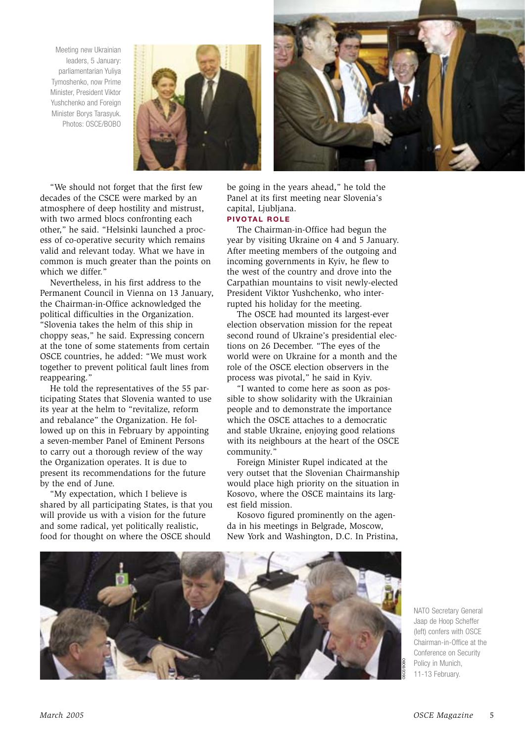Meeting new Ukrainian leaders, 5 January: parliamentarian Yuliya Tymoshenko, now Prime Minister, President Viktor Yushchenko and Foreign Minister Borys Tarasyuk. Photos: OSCE/BOBO





"We should not forget that the first few decades of the CSCE were marked by an atmosphere of deep hostility and mistrust, with two armed blocs confronting each other," he said. "Helsinki launched a process of co-operative security which remains valid and relevant today. What we have in common is much greater than the points on which we differ."

Nevertheless, in his first address to the Permanent Council in Vienna on 13 January, the Chairman-in-Office acknowledged the political difficulties in the Organization. "Slovenia takes the helm of this ship in choppy seas," he said. Expressing concern at the tone of some statements from certain OSCE countries, he added: "We must work together to prevent political fault lines from reappearing."

He told the representatives of the 55 participating States that Slovenia wanted to use its year at the helm to "revitalize, reform and rebalance" the Organization. He followed up on this in February by appointing a seven-member Panel of Eminent Persons to carry out a thorough review of the wav the Organization operates. It is due to present its recommendations for the future by the end of June.

"My expectation, which I believe is shared by all participating States, is that you will provide us with a vision for the future and some radical, yet politically realistic, food for thought on where the OSCE should

be going in the years ahead," he told the Panel at its first meeting near Slovenia's capital, Liubliana.

### **PIVOTAL ROLE**

The Chairman-in-Office had begun the year by visiting Ukraine on 4 and 5 January. After meeting members of the outgoing and incoming governments in Kyiv, he flew to the west of the country and drove into the Carpathian mountains to visit newly-elected President Viktor Yushchenko, who interrupted his holiday for the meeting.

The OSCE had mounted its largest-ever election observation mission for the repeat second round of Ukraine's presidential elections on 26 December. "The eyes of the world were on Ukraine for a month and the role of the OSCE election observers in the process was pivotal," he said in Kyiv.

"I wanted to come here as soon as possible to show solidarity with the Ukrainian people and to demonstrate the importance which the OSCE attaches to a democratic and stable Ukraine, enioving good relations with its neighbours at the heart of the OSCE community."

Foreign Minister Rupel indicated at the very outset that the Slovenian Chairmanship would place high priority on the situation in Kosovo, where the OSCE maintains its largest field mission.

Kosovo figured prominently on the agenda in his meetings in Belgrade, Moscow, New York and Washington, D.C. In Pristina,



NATO Secretary General Jaap de Hoop Scheffer (left) confers with OSCF Chairman-in-Office at the Conference on Security Policy in Munich. 11-13 February.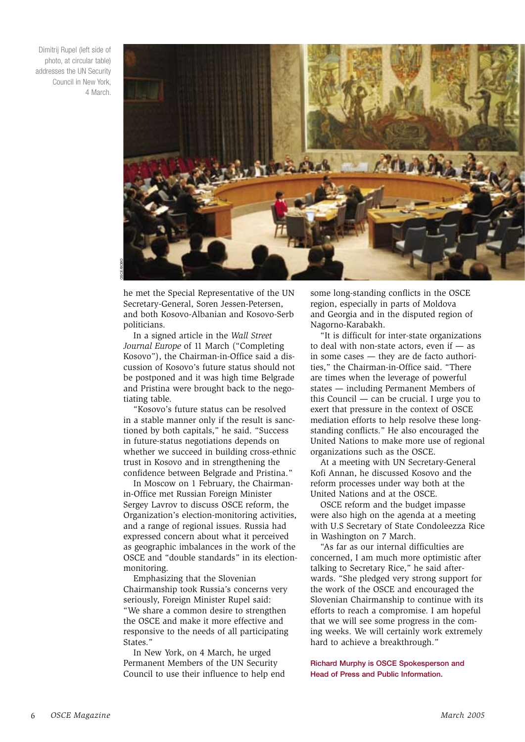Dimitrij Rupel (left side of photo, at circular table) addresses the UN Security Council in New York, 4 March.



he met the Special Representative of the UN Secretary-General, Soren Jessen-Petersen, and both Kosovo-Albanian and Kosovo-Serb noliticians

In a signed article in the Wall Street Journal Europe of 11 March ("Completing Kosovo"), the Chairman-in-Office said a discussion of Kosovo's future status should not be postponed and it was high time Belgrade and Pristina were brought back to the negotiating table.

"Kosovo's future status can be resolved in a stable manner only if the result is sanctioned by both capitals," he said. "Success in future-status negotiations depends on whether we succeed in building cross-ethnic trust in Kosovo and in strengthening the confidence between Belgrade and Pristina."

In Moscow on 1 February, the Chairmanin-Office met Russian Foreign Minister Sergey Lavroy to discuss OSCE reform, the Organization's election-monitoring activities, and a range of regional issues. Russia had expressed concern about what it perceived as geographic imbalances in the work of the OSCE and "double standards" in its electionmonitoring.

Emphasizing that the Slovenian Chairmanship took Russia's concerns very seriously, Foreign Minister Rupel said: "We share a common desire to strengthen the OSCE and make it more effective and responsive to the needs of all participating States."

In New York, on 4 March, he urged Permanent Members of the UN Security Council to use their influence to help end some long-standing conflicts in the OSCE region, especially in parts of Moldova and Georgia and in the disputed region of Nagorno-Karabakh.

"It is difficult for inter-state organizations to deal with non-state actors, even if  $-$  as in some cases - they are de facto authorities," the Chairman-in-Office said. "There are times when the leverage of powerful states — including Permanent Members of this Council  $-$  can be crucial. I urge you to exert that pressure in the context of OSCE mediation efforts to help resolve these longstanding conflicts." He also encouraged the United Nations to make more use of regional organizations such as the OSCE.

At a meeting with UN Secretary-General Kofi Annan, he discussed Kosovo and the reform processes under way both at the United Nations and at the OSCE.

OSCE reform and the budget impasse were also high on the agenda at a meeting with U.S Secretary of State Condoleezza Rice in Washington on 7 March.

"As far as our internal difficulties are concerned, I am much more optimistic after talking to Secretary Rice," he said afterwards. "She pledged very strong support for the work of the OSCE and encouraged the Slovenian Chairmanship to continue with its efforts to reach a compromise. I am hopeful that we will see some progress in the coming weeks. We will certainly work extremely hard to achieve a breakthrough."

**Richard Murphy is OSCE Spokesperson and** Head of Press and Public Information.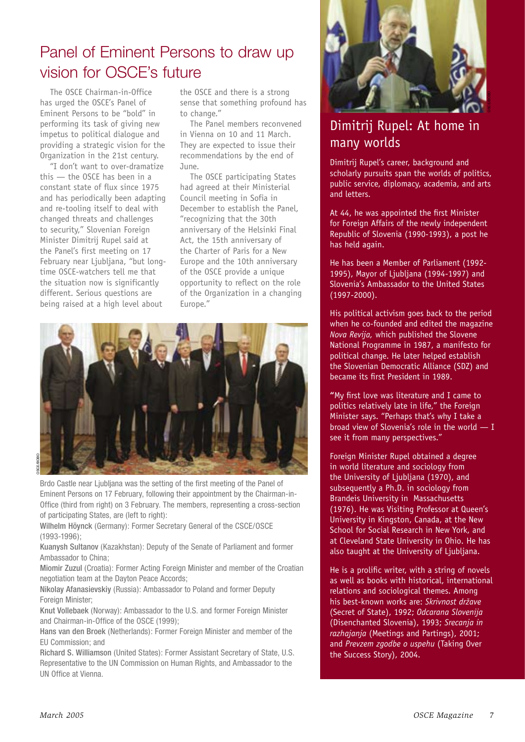## Panel of Eminent Persons to draw up vision for OSCE's future

The OSCE Chairman-in-Office has urged the OSCE's Panel of Eminent Persons to be "bold" in performing its task of giving new impetus to political dialoque and providing a strategic vision for the Organization in the 21st century.

"I don't want to over-dramatize this  $-$  the OSCE has been in a constant state of flux since 1975 and has periodically been adapting and re-tooling itself to deal with changed threats and challenges to security," Slovenian Foreign Minister Dimitrij Rupel said at the Panel's first meeting on 17 February near Ljubljana, "but longtime OSCE-watchers tell me that the situation now is significantly different. Serious questions are being raised at a high level about

the OSCE and there is a strong sense that something profound has to change."

The Panel members reconvened in Vienna on 10 and 11 March. They are expected to issue their recommendations by the end of June.

The OSCE participating States had agreed at their Ministerial Council meeting in Sofia in December to establish the Panel. "recognizing that the 30th anniversary of the Helsinki Final Act, the 15th anniversary of the Charter of Paris for a New Europe and the 10th anniversary of the OSCE provide a unique opportunity to reflect on the role of the Organization in a changing Europe."



Brdo Castle near Ljubljana was the setting of the first meeting of the Panel of Eminent Persons on 17 February, following their appointment by the Chairman-in-Office (third from right) on 3 February. The members, representing a cross-section of participating States, are (left to right):

Wilhelm Höynck (Germany): Former Secretary General of the CSCE/OSCE  $(1993 - 1996)$ :

Kuanysh Sultanov (Kazakhstan): Deputy of the Senate of Parliament and former Ambassador to China:

Miomir Zuzul (Croatia): Former Acting Foreign Minister and member of the Croatian negotiation team at the Davton Peace Accords:

Nikolay Afanasievskiy (Russia): Ambassador to Poland and former Deputy Foreian Minister:

Knut Vollebaek (Norway): Ambassador to the U.S. and former Foreign Minister and Chairman-in-Office of the OSCE (1999):

Hans van den Broek (Netherlands): Former Foreign Minister and member of the EU Commission: and

Richard S. Williamson (United States): Former Assistant Secretary of State, U.S. Representative to the UN Commission on Human Rights, and Ambassador to the **IIN Office at Vienna** 



### Dimitrij Rupel: At home in many worlds

Dimitrij Rupel's career, background and scholarly pursuits span the worlds of politics, public service, diplomacy, academia, and arts and letters.

At 44, he was appointed the first Minister for Foreign Affairs of the newly independent Republic of Slovenia (1990-1993), a post he has held again.

He has been a Member of Parliament (1992-1995), Mayor of Ljubljana (1994-1997) and Slovenia's Ambassador to the United States  $(1997 - 2000)$ .

His political activism goes back to the period when he co-founded and edited the magazine Nova Revija, which published the Slovene National Programme in 1987, a manifesto for political change. He later helped establish the Slovenian Democratic Alliance (SDZ) and became its first President in 1989.

"My first love was literature and I came to politics relatively late in life," the Foreign Minister says. "Perhaps that's why I take a broad view of Slovenia's role in the world  $- I$ see it from many perspectives."

Foreign Minister Rupel obtained a degree in world literature and sociology from the University of Ljubljana (1970), and subsequently a Ph.D. in sociology from Brandeis University in Massachusetts (1976). He was Visiting Professor at Queen's University in Kingston, Canada, at the New School for Social Research in New York, and at Cleveland State University in Ohio. He has also taught at the University of Ljubljana.

He is a prolific writer, with a string of novels as well as books with historical, international relations and sociological themes. Among his best-known works are: Skrivnost države (Secret of State), 1992; Odcarana Slovenija (Disenchanted Slovenia), 1993; Srecania in razhajanja (Meetings and Partings), 2001; and Prevzem zgodbe o uspehu (Taking Over the Success Story), 2004.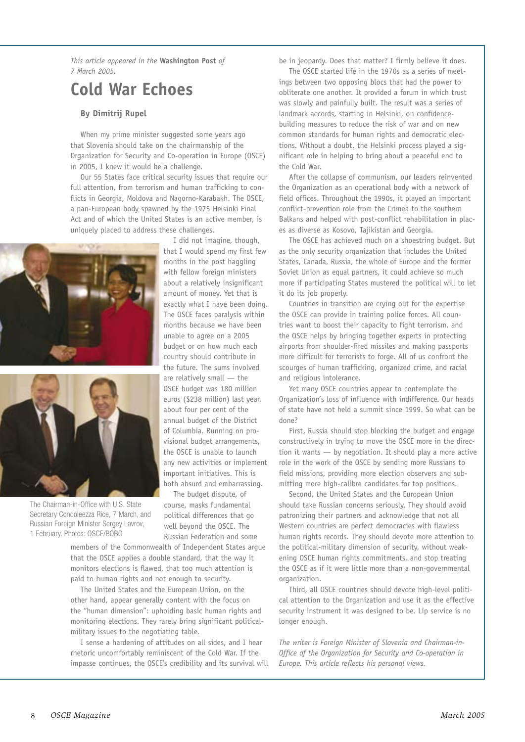This article appeared in the Washington Post of 7 March 2005

### **Cold War Echoes**

### **By Dimitrij Rupel**

When my prime minister suggested some years ago that Slovenia should take on the chairmanship of the Organization for Security and Co-operation in Europe (OSCE) in 2005, I knew it would be a challenge.

Our 55 States face critical security issues that require our full attention, from terrorism and human trafficking to conflicts in Georgia, Moldova and Nagorno-Karabakh. The OSCE, a pan-European body spawned by the 1975 Helsinki Final Act and of which the United States is an active member, is uniquely placed to address these challenges.





The Chairman-in-Office with U.S. State Secretary Condoleezza Rice, 7 March, and Russian Foreign Minister Sergey Lavrov, 1 February. Photos: OSCE/BOBO

I did not imagine, though, that I would spend my first few months in the post haggling with fellow foreign ministers about a relatively insignificant amount of money. Yet that is exactly what I have been doing. The OSCE faces paralysis within months because we have been unable to agree on a 2005 budget or on how much each country should contribute in the future. The sums involved are relatively small  $-$  the OSCE budget was 180 million euros (\$238 million) last year, about four per cent of the annual budget of the District of Columbia. Running on provisional budget arrangements, the OSCE is unable to launch any new activities or implement important initiatives. This is both absurd and embarrassing.

The budget dispute, of course, masks fundamental political differences that go well beyond the OSCE. The Russian Federation and some

members of the Commonwealth of Independent States arque that the OSCE applies a double standard, that the way it monitors elections is flawed, that too much attention is paid to human rights and not enough to security.

The United States and the European Union, on the other hand, appear generally content with the focus on the "human dimension": upholding basic human rights and monitoring elections. They rarely bring significant politicalmilitary issues to the negotiating table.

I sense a hardening of attitudes on all sides, and I hear rhetoric uncomfortably reminiscent of the Cold War. If the impasse continues, the OSCE's credibility and its survival will be in jeopardy. Does that matter? I firmly believe it does.

The OSCE started life in the 1970s as a series of meetings between two opposing blocs that had the power to obliterate one another. It provided a forum in which trust was slowly and painfully built. The result was a series of landmark accords, starting in Helsinki, on confidencebuilding measures to reduce the risk of war and on new common standards for human rights and democratic elections. Without a doubt, the Helsinki process played a significant role in helping to bring about a peaceful end to the Cold War.

After the collapse of communism, our leaders reinvented the Organization as an operational body with a network of field offices. Throughout the 1990s, it played an important conflict-prevention role from the Crimea to the southern Balkans and helped with post-conflict rehabilitation in places as diverse as Kosovo, Tajikistan and Georgia.

The OSCE has achieved much on a shoestring budget. But as the only security organization that includes the United States, Canada, Russia, the whole of Europe and the former Soviet Union as equal partners, it could achieve so much more if participating States mustered the political will to let it do its job properly.

Countries in transition are crying out for the expertise the OSCE can provide in training police forces. All countries want to boost their capacity to fight terrorism, and the OSCE helps by bringing together experts in protecting airports from shoulder-fired missiles and making passports more difficult for terrorists to forge. All of us confront the scourges of human trafficking, organized crime, and racial and religious intolerance.

Yet many OSCE countries appear to contemplate the Organization's loss of influence with indifference. Our heads of state have not held a summit since 1999. So what can be  $f$ <sub>0ne</sub>?

First. Russia should stop blocking the budget and engage constructively in trying to move the OSCE more in the direction it wants - by negotiation. It should play a more active role in the work of the OSCE by sending more Russians to field missions, providing more election observers and submitting more high-calibre candidates for top positions.

Second, the United States and the European Union should take Russian concerns seriously. They should avoid patronizing their partners and acknowledge that not all Western countries are perfect democracies with flawless human rights records. They should devote more attention to the political-military dimension of security, without weakening OSCE human rights commitments, and stop treating the OSCE as if it were little more than a non-governmental organization.

Third, all OSCE countries should devote high-level political attention to the Organization and use it as the effective security instrument it was designed to be. Lip service is no longer enough.

The writer is Foreian Minister of Slovenia and Chairman-in-Office of the Organization for Security and Co-operation in Europe. This article reflects his personal views.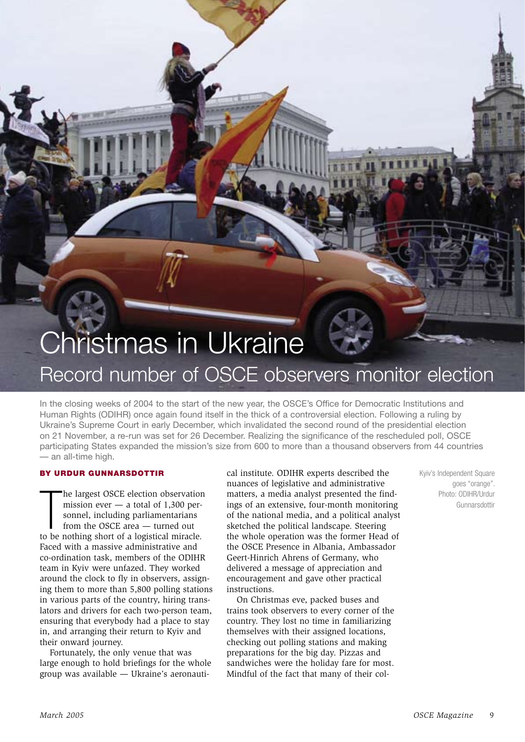## **Christmas in Ukraine** Record number of OSCE observers monitor election

In the closing weeks of 2004 to the start of the new year, the OSCE's Office for Democratic Institutions and Human Rights (ODIHR) once again found itself in the thick of a controversial election. Following a ruling by Ukraine's Supreme Court in early December, which invalidated the second round of the presidential election on 21 November, a re-run was set for 26 December. Realizing the significance of the rescheduled poll, OSCE participating States expanded the mission's size from 600 to more than a thousand observers from 44 countries - an all-time high.

### BY URDUR GUNNARSDOTTIR

he largest OSCE election observation mission ever  $-$  a total of 1,300 personnel, including parliamentarians from the OSCE area - turned out to be nothing short of a logistical miracle. Faced with a massive administrative and co-ordination task, members of the ODIHR team in Kviv were unfazed. They worked around the clock to fly in observers, assigning them to more than 5,800 polling stations in various parts of the country, hiring translators and drivers for each two-person team, ensuring that everybody had a place to stay in, and arranging their return to Kyiv and their onward journey.

Fortunately, the only venue that was large enough to hold briefings for the whole group was available — Ukraine's aeronautical institute. ODIHR experts described the nuances of legislative and administrative matters, a media analyst presented the findings of an extensive, four-month monitoring of the national media, and a political analyst sketched the political landscape. Steering the whole operation was the former Head of the OSCE Presence in Albania. Ambassador Geert-Hinrich Ahrens of Germany, who delivered a message of appreciation and encouragement and gave other practical instructions.

On Christmas eve, packed buses and trains took observers to every corner of the country. They lost no time in familiarizing themselves with their assigned locations, checking out polling stations and making preparations for the big day. Pizzas and sandwiches were the holiday fare for most. Mindful of the fact that many of their colKyiv's Independent Square goes "orange". Photo: ODIHR/Urdur Gunnarsdottir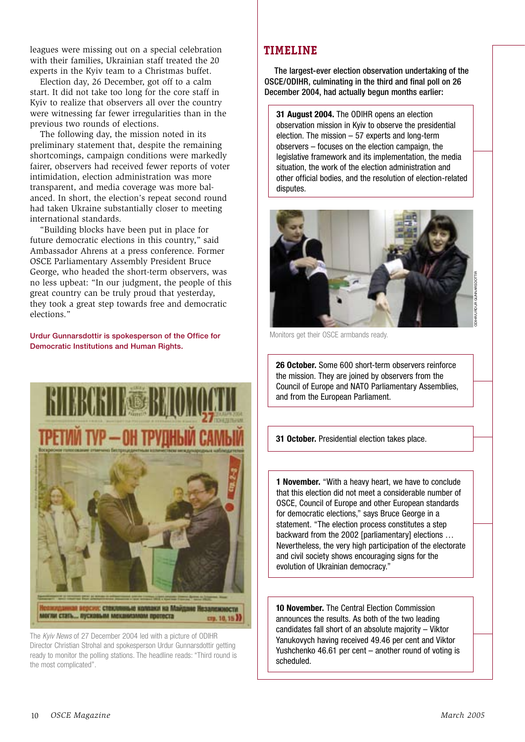leagues were missing out on a special celebration with their families, Ukrainian staff treated the 20 experts in the Kyiv team to a Christmas buffet.

Election day, 26 December, got off to a calm start. It did not take too long for the core staff in Kyiv to realize that observers all over the country were witnessing far fewer irregularities than in the previous two rounds of elections.

The following day, the mission noted in its preliminary statement that, despite the remaining shortcomings, campaign conditions were markedly fairer, observers had received fewer reports of voter intimidation, election administration was more transparent, and media coverage was more balanced. In short, the election's repeat second round had taken Ukraine substantially closer to meeting international standards.

"Building blocks have been put in place for future democratic elections in this country," said Ambassador Ahrens at a press conference. Former OSCE Parliamentary Assembly President Bruce George, who headed the short-term observers, was no less upbeat: "In our judgment, the people of this great country can be truly proud that yesterday, they took a great step towards free and democratic elections."

Urdur Gunnarsdottir is spokesperson of the Office for **Democratic Institutions and Human Rights.** 



The Kviv News of 27 December 2004 led with a picture of ODIHR Director Christian Strohal and spokesperson Urdur Gunnarsdottir getting ready to monitor the polling stations. The headline reads: "Third round is the most complicated".

### **TIMELINE**

The largest-ever election observation undertaking of the OSCE/ODIHR, culminating in the third and final poll on 26 December 2004, had actually begun months earlier:

31 August 2004. The ODIHR opens an election observation mission in Kyiv to observe the presidential election. The mission  $-57$  experts and long-term observers - focuses on the election campaign, the legislative framework and its implementation, the media situation, the work of the election administration and other official bodies, and the resolution of election-related disputes.



Monitors get their OSCE armbands ready.

26 October, Some 600 short-term observers reinforce the mission. They are joined by observers from the Council of Europe and NATO Parliamentary Assemblies, and from the European Parliament.

31 October. Presidential election takes place.

**1 November.** "With a heavy heart, we have to conclude that this election did not meet a considerable number of OSCE, Council of Europe and other European standards for democratic elections," says Bruce George in a statement. "The election process constitutes a step backward from the 2002 [parliamentary] elections ... Nevertheless, the very high participation of the electorate and civil society shows encouraging signs for the evolution of Ukrainian democracy."

10 November, The Central Election Commission announces the results. As both of the two leading candidates fall short of an absolute majority - Viktor Yanukovych having received 49.46 per cent and Viktor Yushchenko 46.61 per cent - another round of voting is scheduled.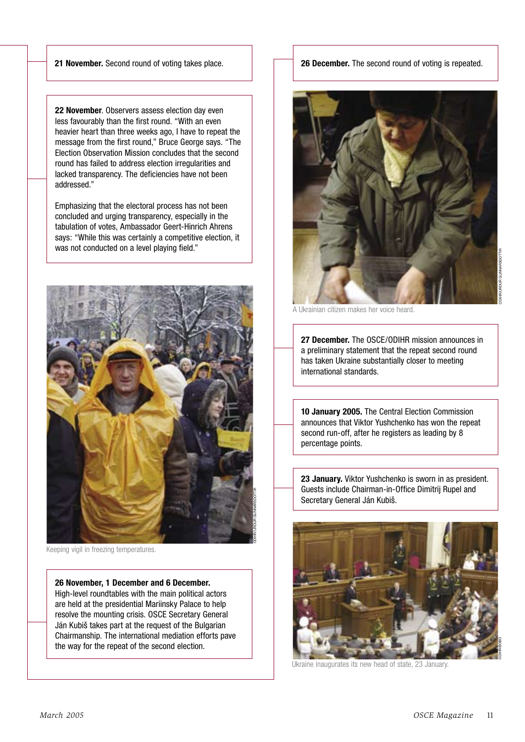21 November. Second round of voting takes place.

22 November. Observers assess election day even less favourably than the first round. "With an even heavier heart than three weeks ago, I have to repeat the message from the first round," Bruce George says. "The Election Observation Mission concludes that the second round has failed to address election irregularities and lacked transparency. The deficiencies have not been addressed."

Emphasizing that the electoral process has not been concluded and urging transparency, especially in the tabulation of votes, Ambassador Geert-Hinrich Ahrens says: "While this was certainly a competitive election, it was not conducted on a level playing field."



Keeping vigil in freezing temperatures.

26 November, 1 December and 6 December. High-level roundtables with the main political actors are held at the presidential Mariinsky Palace to help resolve the mounting crisis. OSCE Secretary General Ján Kubiš takes part at the request of the Bulgarian Chairmanship. The international mediation efforts pave the way for the repeat of the second election.

26 December. The second round of voting is repeated.



A Ukrainian citizen makes her voice heard

27 December. The OSCE/ODIHR mission announces in a preliminary statement that the repeat second round has taken Ukraine substantially closer to meeting international standards.

10 January 2005. The Central Election Commission announces that Viktor Yushchenko has won the repeat second run-off, after he registers as leading by 8 percentage points.

23 January. Viktor Yushchenko is sworn in as president. Guests include Chairman-in-Office Dimitrij Rupel and Secretary General Ján Kubiš.



Ukraine inaugurates its new head of state, 23 January.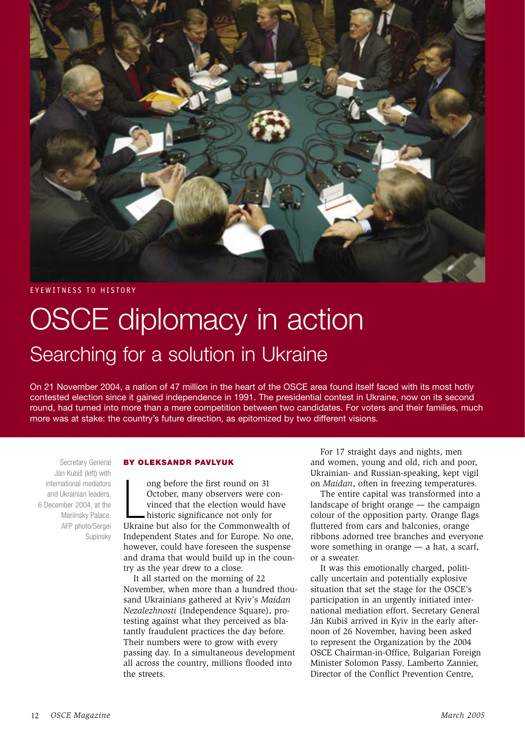

**EYEWITNESS TO HISTORY** 

## **OSCE** diplomacy in action Searching for a solution in Ukraine

On 21 November 2004, a nation of 47 million in the heart of the OSCE area found itself faced with its most hotly contested election since it gained independence in 1991. The presidential contest in Ukraine, now on its second round, had turned into more than a mere competition between two candidates. For voters and their families, much more was at stake: the country's future direction, as epitomized by two different visions.

Secretary General Ján Kubiš (left) with international mediators and Ukrainian leaders. 6 December 2004, at the Mariinsky Palace. AFP photo/Sergei Supinsky

### **BY OLEKSANDR PAVLYUK**

ong before the first round on 31 October, many observers were convinced that the election would have historic significance not only for Ukraine but also for the Commonwealth of Independent States and for Europe. No one, however, could have foreseen the suspense and drama that would build up in the country as the year drew to a close.

It all started on the morning of 22 November, when more than a hundred thousand Ukrainians gathered at Kyiv's Maidan Nezalezhnosti (Independence Square), protesting against what they perceived as blatantly fraudulent practices the day before. Their numbers were to grow with every passing day. In a simultaneous development all across the country, millions flooded into the streets

For 17 straight days and nights, men and women, young and old, rich and poor, Ukrainian- and Russian-speaking, kept vigil on Maidan, often in freezing temperatures.

The entire capital was transformed into a landscape of bright orange  $-$  the campaign colour of the opposition party. Orange flags fluttered from cars and balconies, orange ribbons adorned tree branches and everyone wore something in orange  $-$  a hat, a scarf, or a sweater.

It was this emotionally charged, politically uncertain and potentially explosive situation that set the stage for the OSCE's participation in an urgently initiated international mediation effort. Secretary General Ján Kubiš arrived in Kviv in the early afternoon of 26 November, having been asked to represent the Organization by the 2004 OSCE Chairman-in-Office, Bulgarian Foreign Minister Solomon Passy. Lamberto Zannier. Director of the Conflict Prevention Centre.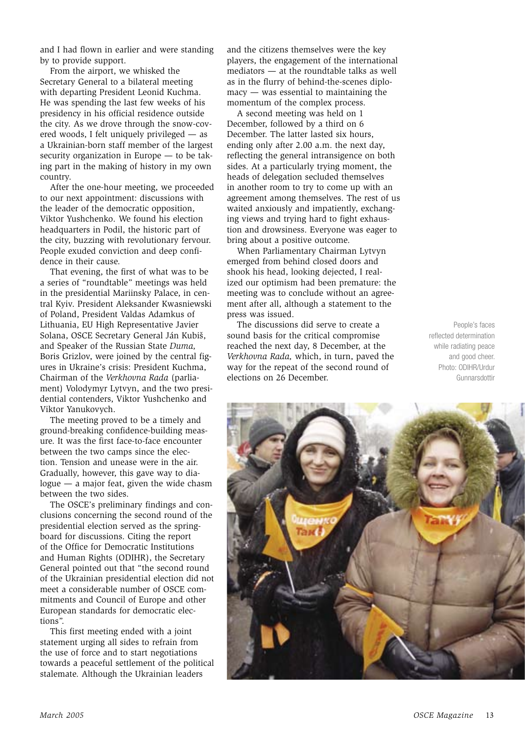and I had flown in earlier and were standing by to provide support.

From the airport, we whisked the Secretary General to a bilateral meeting with departing President Leonid Kuchma. He was spending the last few weeks of his presidency in his official residence outside the city. As we drove through the snow-covered woods, I felt uniquely privileged — as a Ukrainian-born staff member of the largest security organization in Europe — to be taking part in the making of history in my own country.

After the one-hour meeting, we proceeded to our next appointment: discussions with the leader of the democratic opposition. Viktor Yushchenko. We found his election headquarters in Podil, the historic part of the city, buzzing with revolutionary fervour. People exuded conviction and deep confidence in their cause.

That evening, the first of what was to be a series of "roundtable" meetings was held in the presidential Mariinsky Palace, in central Kyiv. President Aleksander Kwasniewski of Poland, President Valdas Adamkus of Lithuania, EU High Representative Javier Solana, OSCE Secretary General Ján Kubiš, and Speaker of the Russian State Duma, Boris Grizlov, were joined by the central figures in Ukraine's crisis: President Kuchma, Chairman of the Verkhovna Rada (parliament) Volodymyr Lytvyn, and the two presidential contenders, Viktor Yushchenko and Viktor Yanukovych.

The meeting proved to be a timely and ground-breaking confidence-building measure. It was the first face-to-face encounter between the two camps since the election. Tension and unease were in the air. Gradually, however, this gave way to dia $logue - a$  major feat, given the wide chasm between the two sides.

The OSCE's preliminary findings and conclusions concerning the second round of the presidential election served as the springboard for discussions. Citing the report of the Office for Democratic Institutions and Human Rights (ODIHR), the Secretary General pointed out that "the second round of the Ukrainian presidential election did not meet a considerable number of OSCE commitments and Council of Europe and other European standards for democratic elections".

This first meeting ended with a joint statement urging all sides to refrain from the use of force and to start negotiations towards a peaceful settlement of the political stalemate. Although the Ukrainian leaders

and the citizens themselves were the key players, the engagement of the international mediators - at the roundtable talks as well as in the flurry of behind-the-scenes diplo- $\text{macy}$  — was essential to maintaining the momentum of the complex process.

A second meeting was held on 1 December, followed by a third on 6 December. The latter lasted six hours, ending only after 2.00 a.m. the next day, reflecting the general intransigence on both sides. At a particularly trying moment, the heads of delegation secluded themselves in another room to try to come up with an agreement among themselves. The rest of us waited anxiously and impatiently, exchanging views and trying hard to fight exhaustion and drowsiness. Everyone was eager to bring about a positive outcome.

When Parliamentary Chairman Lytvyn emerged from behind closed doors and shook his head, looking dejected, I realized our optimism had been premature: the meeting was to conclude without an agreement after all, although a statement to the press was issued.

The discussions did serve to create a sound basis for the critical compromise reached the next day, 8 December, at the Verkhovna Rada, which, in turn, paved the way for the repeat of the second round of elections on 26 December.

People's faces reflected determination while radiating peace and good cheer. Photo: ODIHR/Urdur Gunnarsdottir

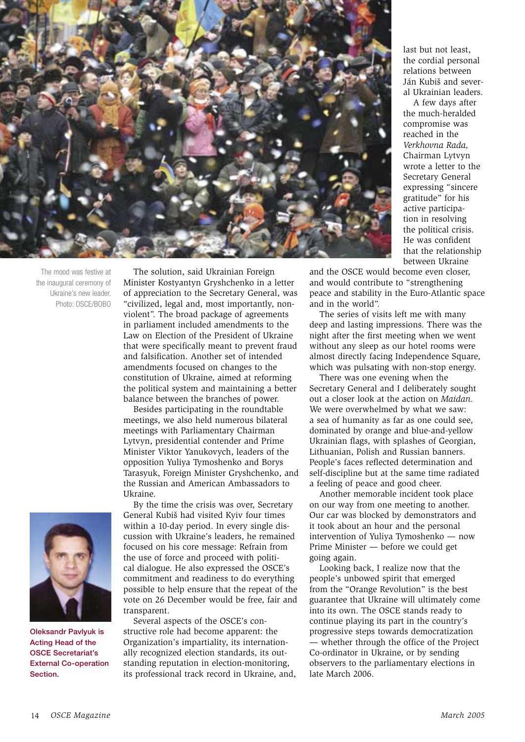

The mood was festive at the inaugural ceremony of Ukraine's new leader. Photo: OSCE/BOBO



**Oleksandr Pavlyuk is Acting Head of the OSCE Secretariat's External Co-operation** Section.

The solution, said Ukrainian Foreign Minister Kostyantyn Gryshchenko in a letter of appreciation to the Secretary General, was "civilized, legal and, most importantly, nonviolent". The broad package of agreements in parliament included amendments to the Law on Election of the President of Ukraine that were specifically meant to prevent fraud and falsification. Another set of intended amendments focused on changes to the constitution of Ukraine, aimed at reforming the political system and maintaining a better balance between the branches of power.

Besides participating in the roundtable meetings, we also held numerous bilateral meetings with Parliamentary Chairman Lytyvn, presidential contender and Prime Minister Viktor Yanukovych, leaders of the opposition Yuliya Tymoshenko and Borys Tarasyuk, Foreign Minister Gryshchenko, and the Russian and American Ambassadors to Ukraine.

By the time the crisis was over, Secretary General Kubiš had visited Kyiv four times within a 10-day period. In every single discussion with Ukraine's leaders, he remained focused on his core message: Refrain from the use of force and proceed with political dialogue. He also expressed the OSCE's commitment and readiness to do everything possible to help ensure that the repeat of the vote on 26 December would be free, fair and transparent.

Several aspects of the OSCE's constructive role had become apparent: the Organization's impartiality, its internationally recognized election standards, its outstanding reputation in election-monitoring. its professional track record in Ukraine, and, last but not least. the cordial personal relations between Ján Kubiš and several Ukrainian leaders.

A few days after the much-heralded compromise was reached in the Verkhovna Rada, Chairman Lytvyn wrote a letter to the Secretary General expressing "sincere gratitude" for his active participation in resolving the political crisis. He was confident that the relationship between Ukraine

and the OSCE would become even closer, and would contribute to "strengthening peace and stability in the Euro-Atlantic space and in the world".

The series of visits left me with many deep and lasting impressions. There was the night after the first meeting when we went without any sleep as our hotel rooms were almost directly facing Independence Square, which was pulsating with non-stop energy.

There was one evening when the Secretary General and I deliberately sought out a closer look at the action on Maidan. We were overwhelmed by what we saw: a sea of humanity as far as one could see. dominated by orange and blue-and-vellow Ukrainian flags, with splashes of Georgian, Lithuanian, Polish and Russian banners. People's faces reflected determination and self-discipline but at the same time radiated a feeling of peace and good cheer.

Another memorable incident took place on our way from one meeting to another. Our car was blocked by demonstrators and it took about an hour and the personal intervention of Yuliva Tymoshenko — now Prime Minister - before we could get going again.

Looking back, I realize now that the people's unbowed spirit that emerged from the "Orange Revolution" is the best guarantee that Ukraine will ultimately come into its own. The OSCE stands ready to continue playing its part in the country's progressive steps towards democratization — whether through the office of the Project Co-ordinator in Ukraine, or by sending observers to the parliamentary elections in late March 2006.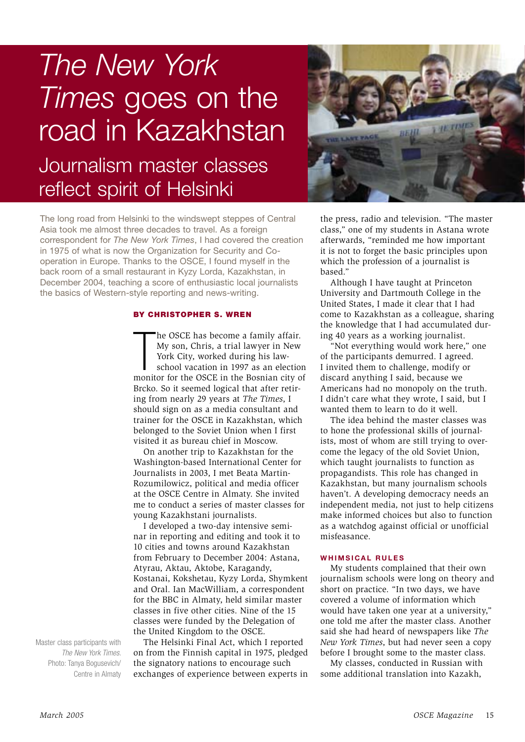## The New York Times goes on the road in Kazakhstan Journalism master classes reflect spirit of Helsinki



The long road from Helsinki to the windswept steppes of Central Asia took me almost three decades to travel. As a foreign correspondent for The New York Times. I had covered the creation in 1975 of what is now the Organization for Security and Cooperation in Europe. Thanks to the OSCE, I found myself in the back room of a small restaurant in Kyzy Lorda, Kazakhstan, in December 2004, teaching a score of enthusiastic local journalists the basics of Western-style reporting and news-writing.

### BY CHRISTOPHER S. WREN

he OSCE has become a family affair. My son, Chris, a trial lawyer in New York City, worked during his lawschool vacation in 1997 as an election monitor for the OSCE in the Bosnian city of Brcko. So it seemed logical that after retiring from nearly 29 years at The Times, I should sign on as a media consultant and trainer for the OSCE in Kazakhstan, which belonged to the Soviet Union when I first visited it as bureau chief in Moscow.

On another trip to Kazakhstan for the Washington-based International Center for Journalists in 2003. I met Beata Martin-Rozumilowicz, political and media officer at the OSCE Centre in Almaty. She invited me to conduct a series of master classes for young Kazakhstani journalists.

I developed a two-day intensive seminar in reporting and editing and took it to 10 cities and towns around Kazakhstan from February to December 2004: Astana, Atvrau, Aktau, Aktobe, Karagandy, Kostanai, Kokshetau, Kyzy Lorda, Shymkent and Oral, Jan MacWilliam, a correspondent for the BBC in Almaty, held similar master classes in five other cities. Nine of the 15 classes were funded by the Delegation of the United Kingdom to the OSCE.

The Helsinki Final Act, which I reported on from the Finnish capital in 1975, pledged the signatory nations to encourage such exchanges of experience between experts in the press, radio and television. "The master class," one of my students in Astana wrote afterwards, "reminded me how important it is not to forget the basic principles upon which the profession of a journalist is based."

Although I have taught at Princeton University and Dartmouth College in the United States, I made it clear that I had come to Kazakhstan as a colleague, sharing the knowledge that I had accumulated during 40 years as a working journalist.

"Not everything would work here," one of the participants demurred. I agreed. I invited them to challenge, modify or discard anything I said, because we Americans had no monopoly on the truth. I didn't care what they wrote, I said, but I wanted them to learn to do it well.

The idea behind the master classes was to hone the professional skills of journalists, most of whom are still trying to overcome the legacy of the old Soviet Union. which taught journalists to function as propagandists. This role has changed in Kazakhstan, but many journalism schools haven't. A developing democracy needs an independent media, not just to help citizens make informed choices but also to function as a watchdog against official or unofficial misfeasance.

### **WHIMSICAL RULES**

My students complained that their own journalism schools were long on theory and short on practice. "In two days, we have covered a volume of information which would have taken one year at a university," one told me after the master class. Another said she had heard of newspapers like The New York Times, but had never seen a copy before I brought some to the master class.

My classes, conducted in Russian with some additional translation into Kazakh.

Master class participants with The New York Times Photo: Tanya Bogusevich/ Centre in Almaty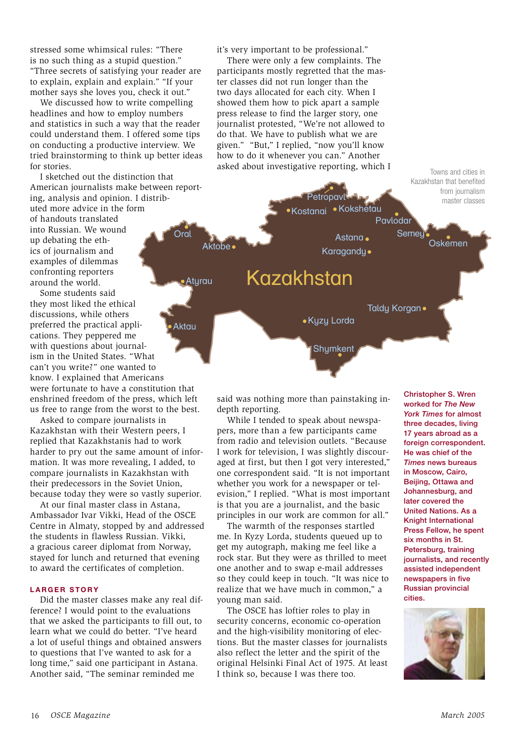stressed some whimsical rules: "There is no such thing as a stupid question." "Three secrets of satisfying your reader are to explain, explain and explain." "If your mother says she loves you, check it out."

We discussed how to write compelling headlines and how to employ numbers and statistics in such a way that the reader could understand them. I offered some tips on conducting a productive interview. We tried brainstorming to think up better ideas for stories.

I sketched out the distinction that American journalists make between reporting, analysis and opinion. I distributed more advice in the form of handouts translated into Russian. We wound Oral up debating the ethics of journalism and examples of dilemmas confronting reporters around the world.

Some students said they most liked the ethical discussions, while others preferred the practical applications. They peppered me with questions about journalism in the United States. "What can't you write?" one wanted to know. I explained that Americans were fortunate to have a constitution that enshrined freedom of the press, which left us free to range from the worst to the best.

Asked to compare journalists in Kazakhstan with their Western peers. I replied that Kazakhstanis had to work harder to pry out the same amount of information. It was more revealing, I added, to compare journalists in Kazakhstan with their predecessors in the Soviet Union, because today they were so vastly superior.

At our final master class in Astana. Ambassador Ivar Vikki, Head of the OSCE Centre in Almaty, stopped by and addressed the students in flawless Russian, Vikki, a gracious career diplomat from Norway. stayed for lunch and returned that evening to award the certificates of completion.

### **LARGER STORY**

Did the master classes make any real difference? I would point to the evaluations that we asked the participants to fill out, to learn what we could do better. "I've heard a lot of useful things and obtained answers to questions that I've wanted to ask for a long time," said one participant in Astana. Another said, "The seminar reminded me

it's very important to be professional."

There were only a few complaints. The participants mostly regretted that the master classes did not run longer than the two days allocated for each city. When I showed them how to pick apart a sample press release to find the larger story, one journalist protested, "We're not allowed to do that. We have to publish what we are given." "But," I replied, "now you'll know how to do it whenever you can." Another asked about investigative reporting, which I



said was nothing more than painstaking indepth reporting.

While I tended to speak about newspapers, more than a few participants came from radio and television outlets. "Because I work for television. I was slightly discouraged at first, but then I got very interested," one correspondent said. "It is not important whether you work for a newspaper or television," I replied. "What is most important is that you are a journalist, and the basic principles in our work are common for all."

The warmth of the responses startled me. In Kyzy Lorda, students queued up to get my autograph, making me feel like a rock star. But they were as thrilled to meet one another and to swap e-mail addresses so they could keep in touch. "It was nice to realize that we have much in common," a voung man said.

The OSCE has loftier roles to play in security concerns, economic co-operation and the high-visibility monitoring of elections. But the master classes for journalists also reflect the letter and the spirit of the original Helsinki Final Act of 1975. At least I think so, because I was there too.

**Christopher S. Wren** worked for The New **York Times for almost** three decades, living 17 years abroad as a foreign correspondent. He was chief of the **Times news bureaus** in Moscow. Cairo. Beijing, Ottawa and Johannesburg, and later covered the **United Nations, As a** Knight International Press Fellow, he spent six months in St. Petersburg, training journalists, and recently assisted independent newspapers in five **Russian provincial** cities.

Towns and cities in

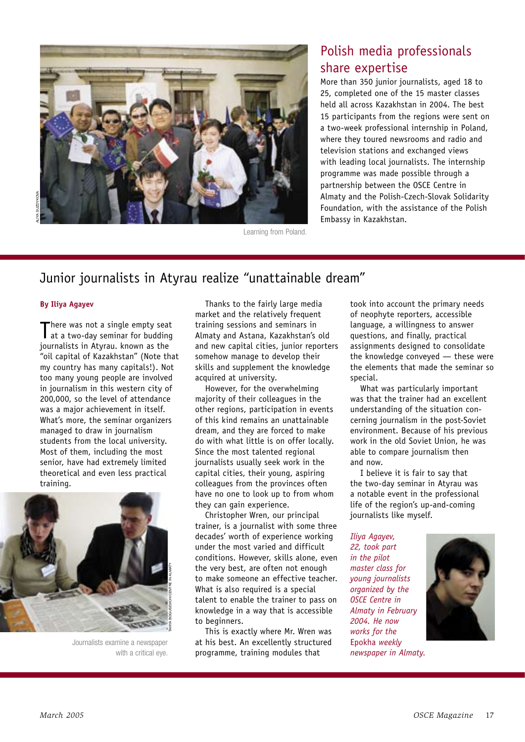

### Learning from Poland.

### Polish media professionals share expertise

More than 350 junior journalists, aged 18 to 25. completed one of the 15 master classes held all across Kazakhstan in 2004. The hest 15 participants from the regions were sent on a two-week professional internship in Poland, where they toured newsrooms and radio and television stations and exchanged views with leading local journalists. The internship programme was made possible through a partnership between the OSCE Centre in Almaty and the Polish-Czech-Slovak Solidarity Foundation, with the assistance of the Polish Embassy in Kazakhstan.

### Junior journalists in Atyrau realize "unattainable dream"

### **By Iliya Agayev**

here was not a single empty seat at a two-day seminar for budding journalists in Atyrau. known as the "oil capital of Kazakhstan" (Note that my country has many capitals!). Not too many young people are involved in journalism in this western city of 200,000, so the level of attendance was a major achievement in itself. What's more, the seminar organizers managed to draw in iournalism students from the local university. Most of them, including the most senior, have had extremely limited theoretical and even less practical training.



Journalists examine a newspaper with a critical eve.

Thanks to the fairly large media market and the relatively frequent training sessions and seminars in Almaty and Astana, Kazakhstan's old and new capital cities, junior reporters somehow manage to develop their skills and supplement the knowledge acquired at university.

However, for the overwhelming majority of their colleagues in the other regions, participation in events of this kind remains an unattainable dream, and they are forced to make do with what little is on offer locally. Since the most talented regional journalists usually seek work in the capital cities, their young, aspiring colleagues from the provinces often have no one to look up to from whom they can gain experience.

Christopher Wren, our principal trainer, is a journalist with some three decades' worth of experience working under the most varied and difficult conditions. However, skills alone, even the very best, are often not enough to make someone an effective teacher. What is also required is a special talent to enable the trainer to pass on knowledge in a way that is accessible to beginners.

This is exactly where Mr. Wren was at his best. An excellently structured programme, training modules that

took into account the primary needs of neophyte reporters, accessible language, a willingness to answer questions, and finally, practical assignments designed to consolidate the knowledge conveyed - these were the elements that made the seminar so special.

What was particularly important was that the trainer had an excellent understanding of the situation concerning journalism in the post-Soviet environment. Because of his previous work in the old Soviet Union, he was able to compare journalism then and now.

I believe it is fair to say that the two-day seminar in Atyrau was a notable event in the professional life of the region's up-and-coming journalists like myself.

Iliva Agavev. 22. took part in the pilot master class for vouna journalists organized by the **OSCE** Centre in Almaty in February 2004. He now works for the Epokha weekly newspaper in Almaty.

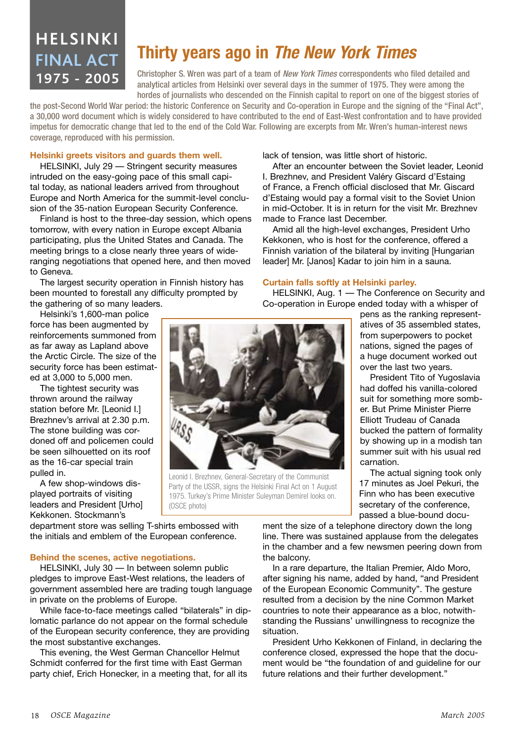## **HELSINKI FINAL ACT** 1975 - 2005

## Thirty years ago in The New York Times

Christopher S. Wren was part of a team of New York Times correspondents who filed detailed and analytical articles from Helsinki over several days in the summer of 1975. They were among the hordes of journalists who descended on the Finnish capital to report on one of the biggest stories of

the post-Second World War period: the historic Conference on Security and Co-operation in Europe and the signing of the "Final Act", a 30,000 word document which is widely considered to have contributed to the end of East-West confrontation and to have provided impetus for democratic change that led to the end of the Cold War. Following are excerpts from Mr. Wren's human-interest news coverage, reproduced with his permission.

### Helsinki greets visitors and guards them well.

HELSINKI, July 29 - Stringent security measures intruded on the easy-going pace of this small capital today, as national leaders arrived from throughout Europe and North America for the summit-level conclusion of the 35-nation European Security Conference.

Finland is host to the three-day session, which opens tomorrow, with every nation in Europe except Albania participating, plus the United States and Canada. The meeting brings to a close nearly three years of wideranging negotiations that opened here, and then moved to Geneva.

The largest security operation in Finnish history has been mounted to forestall any difficulty prompted by the gathering of so many leaders.

Helsinki's 1,600-man police force has been augmented by reinforcements summoned from as far away as Lapland above the Arctic Circle. The size of the security force has been estimated at 3,000 to 5,000 men.

The tightest security was thrown around the railway station before Mr. [Leonid I.] Brezhnev's arrival at 2.30 p.m. The stone building was cordoned off and policemen could be seen silhouetted on its roof as the 16-car special train pulled in.

A few shop-windows displayed portraits of visiting leaders and President [Urho] Kekkonen, Stockmann's

lack of tension, was little short of historic.

After an encounter between the Soviet leader. Leonid I. Brezhnev, and President Valéry Giscard d'Estaing of France, a French official disclosed that Mr. Giscard d'Estaing would pay a formal visit to the Soviet Union in mid-October. It is in return for the visit Mr. Brezhnev made to France last December.

Amid all the high-level exchanges, President Urho Kekkonen, who is host for the conference, offered a Finnish variation of the bilateral by inviting [Hungarian] leader] Mr. [Janos] Kadar to join him in a sauna.

### Curtain falls softly at Helsinki parley.

HELSINKI, Aug. 1 - The Conference on Security and Co-operation in Europe ended today with a whisper of



President Tito of Yugoslavia had doffed his vanilla-colored suit for something more somber. But Prime Minister Pierre Elliott Trudeau of Canada bucked the pattern of formality by showing up in a modish tan summer suit with his usual red carnation.

The actual signing took only 17 minutes as Joel Pekuri, the Finn who has been executive secretary of the conference. passed a blue-bound docu-

department store was selling T-shirts embossed with the initials and emblem of the European conference.

(OSCE photo)

### **Behind the scenes, active negotiations.**

HELSINKI, July 30 - In between solemn public pledges to improve East-West relations, the leaders of government assembled here are trading tough language in private on the problems of Europe.

While face-to-face meetings called "bilaterals" in diplomatic parlance do not appear on the formal schedule of the European security conference, they are providing the most substantive exchanges.

This evening, the West German Chancellor Helmut Schmidt conferred for the first time with East German party chief. Erich Honecker, in a meeting that, for all its ment the size of a telephone directory down the long line. There was sustained applause from the delegates in the chamber and a few newsmen peering down from the balcony.

In a rare departure, the Italian Premier, Aldo Moro, after signing his name, added by hand, "and President of the European Economic Community". The gesture resulted from a decision by the nine Common Market countries to note their appearance as a bloc, notwithstanding the Russians' unwillingness to recognize the situation.

President Urho Kekkonen of Finland, in declaring the conference closed, expressed the hope that the document would be "the foundation of and quideline for our future relations and their further development."



Leonid I. Brezhnev, General-Secretary of the Communist

Party of the USSR, signs the Helsinki Final Act on 1 August

1975. Turkey's Prime Minister Suleyman Demirel looks on.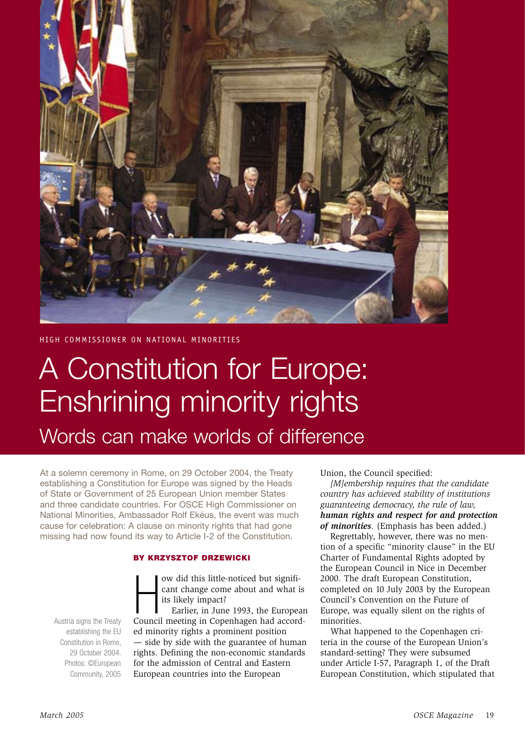

HIGH COMMISSIONER ON NATIONAL MINORITIES

## A Constitution for Europe: Enshrining minority rights

Words can make worlds of difference

At a solemn ceremony in Rome, on 29 October 2004, the Treaty establishing a Constitution for Europe was signed by the Heads of State or Government of 25 European Union member States and three candidate countries. For OSCE High Commissioner on National Minorities. Ambassador Rolf Ekéus, the event was much cause for celebration: A clause on minority rights that had gone missing had now found its way to Article I-2 of the Constitution.

### BY KRZYSZTOF DRZEWICKI

ow did this little-noticed but significant change come about and what is its likely impact?

Earlier, in June 1993, the European Council meeting in Copenhagen had accorded minority rights a prominent position - side by side with the guarantee of human rights. Defining the non-economic standards for the admission of Central and Eastern European countries into the European

Union, the Council specified:

[M]embership requires that the candidate country has achieved stability of institutions guaranteeing democracy, the rule of law. human rights and respect for and protection of minorities. (Emphasis has been added.)

Regrettably, however, there was no mention of a specific "minority clause" in the EU Charter of Fundamental Rights adopted by the European Council in Nice in December 2000. The draft European Constitution. completed on 10 July 2003 by the European Council's Convention on the Future of Europe, was equally silent on the rights of minorities.

What happened to the Copenhagen criteria in the course of the European Union's standard-setting? They were subsumed under Article I-57, Paragraph 1, of the Draft European Constitution, which stipulated that

Austria signs the Treaty establishing the EU Constitution in Rome. 29 October 2004. Photos: ©Furopean Community, 2005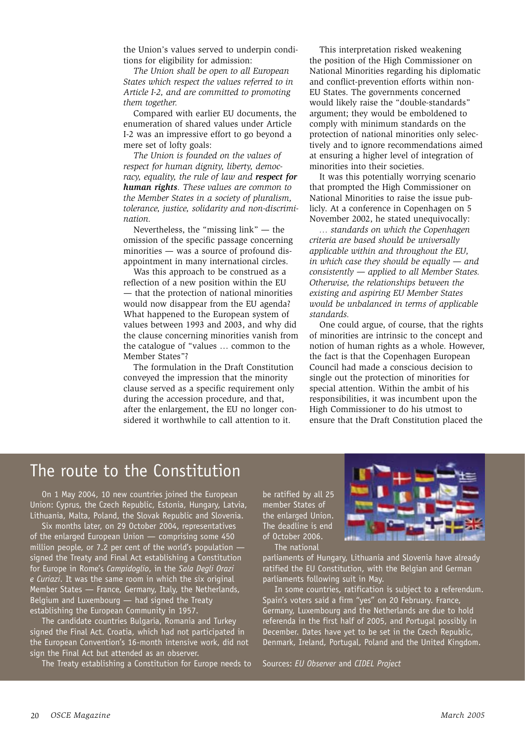the Union's values served to underpin conditions for eligibility for admission:

The Union shall be open to all European States which respect the values referred to in Article I-2, and are committed to promoting them together.

Compared with earlier EU documents, the enumeration of shared values under Article I-2 was an impressive effort to go beyond a mere set of lofty goals:

The Union is founded on the values of respect for human dignity, liberty, democracy, equality, the rule of law and respect for human rights. These values are common to the Member States in a society of pluralism, tolerance, justice, solidarity and non-discrimination.

Nevertheless, the "missing  $link$ " — the omission of the specific passage concerning minorities - was a source of profound disappointment in many international circles.

Was this approach to be construed as a reflection of a new position within the EU - that the protection of national minorities would now disappear from the EU agenda? What happened to the European system of values between 1993 and 2003, and why did the clause concerning minorities vanish from the catalogue of "values ... common to the Member States"?

The formulation in the Draft Constitution conveyed the impression that the minority clause served as a specific requirement only during the accession procedure, and that, after the enlargement, the EU no longer considered it worthwhile to call attention to it.

This interpretation risked weakening the position of the High Commissioner on National Minorities regarding his diplomatic and conflict-prevention efforts within non-EU States. The governments concerned would likely raise the "double-standards" argument; they would be emboldened to comply with minimum standards on the protection of national minorities only selectively and to ignore recommendations aimed at ensuring a higher level of integration of minorities into their societies.

It was this potentially worrying scenario that prompted the High Commissioner on National Minorities to raise the issue publicly. At a conference in Copenhagen on 5 November 2002, he stated unequivocally:

... standards on which the Copenhagen criteria are based should be universally applicable within and throughout the EU, in which case they should be equally  $-$  and  $consistently$  - applied to all Member States. Otherwise, the relationships between the existing and aspiring EU Member States would be unbalanced in terms of applicable standards

One could argue, of course, that the rights of minorities are intrinsic to the concept and notion of human rights as a whole. However, the fact is that the Copenhagen European Council had made a conscious decision to single out the protection of minorities for special attention. Within the ambit of his responsibilities, it was incumbent upon the High Commissioner to do his utmost to ensure that the Draft Constitution placed the

### The route to the Constitution

On 1 May 2004, 10 new countries joined the European Union: Cyprus, the Czech Republic, Estonia, Hungary, Latvia, Lithuania, Malta, Poland, the Slovak Republic and Slovenia.

Six months later, on 29 October 2004, representatives of the enlarged European Union - comprising some 450 million people, or 7.2 per cent of the world's population signed the Treaty and Final Act establishing a Constitution for Europe in Rome's Campidoglio, in the Sala Degli Orazi e Curiazi. It was the same room in which the six original Member States - France, Germany, Italy, the Netherlands, Belgium and Luxembourg - had signed the Treaty establishing the European Community in 1957.

The candidate countries Bulgaria, Romania and Turkey signed the Final Act. Croatia, which had not participated in the European Convention's 16-month intensive work, did not sign the Final Act but attended as an observer.

The Treaty establishing a Constitution for Europe needs to

be ratified by all 25 member States of the enlarged Union. The deadline is end of October 2006. The national



parliaments of Hungary, Lithuania and Slovenia have already ratified the EU Constitution, with the Belgian and German parliaments following suit in May.

In some countries, ratification is subject to a referendum. Spain's voters said a firm "yes" on 20 February. France, Germany, Luxembourg and the Netherlands are due to hold referenda in the first half of 2005, and Portugal possibly in December. Dates have yet to be set in the Czech Republic, Denmark, Ireland, Portugal, Poland and the United Kingdom.

Sources: EU Observer and CIDEL Project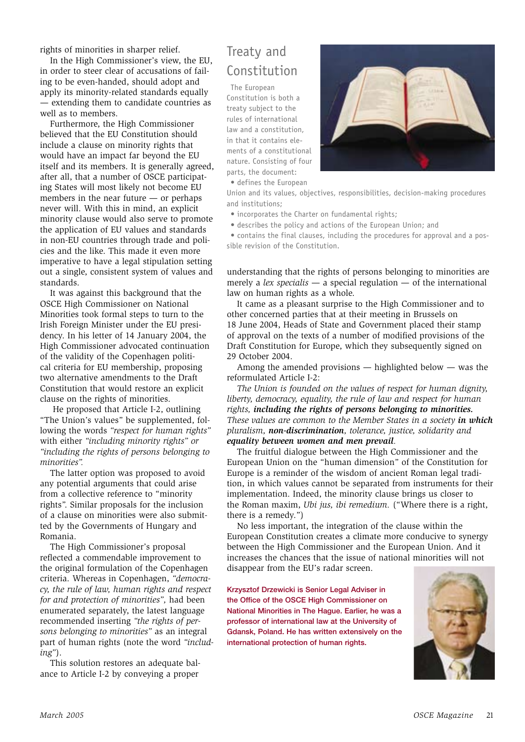rights of minorities in sharper relief.

In the High Commissioner's view, the EU, in order to steer clear of accusations of failing to be even-handed, should adopt and apply its minority-related standards equally - extending them to candidate countries as well as to members.

Furthermore, the High Commissioner believed that the EU Constitution should include a clause on minority rights that would have an impact far beyond the EU itself and its members. It is generally agreed, after all, that a number of OSCE participating States will most likely not become EU members in the near future  $-$  or perhaps never will. With this in mind, an explicit minority clause would also serve to promote the application of EU values and standards in non-EU countries through trade and policies and the like. This made it even more imperative to have a legal stipulation setting out a single, consistent system of values and standards.

It was against this background that the OSCE High Commissioner on National Minorities took formal steps to turn to the Irish Foreign Minister under the EU presidency. In his letter of 14 January 2004, the High Commissioner advocated continuation of the validity of the Copenhagen political criteria for EU membership, proposing two alternative amendments to the Draft Constitution that would restore an explicit clause on the rights of minorities.

He proposed that Article I-2, outlining "The Union's values" be supplemented, following the words "respect for human rights" with either "including minority rights" or "including the rights of persons belonging to minorities"

The latter option was proposed to avoid any potential arguments that could arise from a collective reference to "minority rights". Similar proposals for the inclusion of a clause on minorities were also submitted by the Governments of Hungary and Romania.

The High Commissioner's proposal reflected a commendable improvement to the original formulation of the Copenhagen criteria. Whereas in Copenhagen, "democracy, the rule of law, human rights and respect for and protection of minorities", had been enumerated separately, the latest language recommended inserting "the rights of persons belonging to minorities" as an integral part of human rights (note the word "includ $ing$ ").

This solution restores an adequate balance to Article I-2 by conveying a proper

### Treaty and Constitution

The European

Constitution is both a treaty subject to the rules of international law and a constitution. in that it contains elements of a constitutional nature. Consisting of four parts, the document:



· defines the European

Union and its values, objectives, responsibilities, decision-making procedures and institutions:

• incorporates the Charter on fundamental rights;

• describes the policy and actions of the European Union; and

• contains the final clauses, including the procedures for approval and a possible revision of the Constitution.

understanding that the rights of persons belonging to minorities are merely a *lex specialis*  $-$  a special regulation  $-$  of the international law on human rights as a whole.

It came as a pleasant surprise to the High Commissioner and to other concerned parties that at their meeting in Brussels on 18 June 2004, Heads of State and Government placed their stamp of approval on the texts of a number of modified provisions of the Draft Constitution for Europe, which they subsequently signed on 29 October 2004.

Among the amended provisions  $-$  highlighted below  $-$  was the reformulated Article I-2:

The Union is founded on the values of respect for human dignity, liberty, democracy, equality, the rule of law and respect for human rights, including the rights of persons belonging to minorities. These values are common to the Member States in a society in which pluralism, non-discrimination, tolerance, justice, solidarity and equality between women and men prevail.

The fruitful dialogue between the High Commissioner and the European Union on the "human dimension" of the Constitution for Europe is a reminder of the wisdom of ancient Roman legal tradition, in which values cannot be separated from instruments for their implementation. Indeed, the minority clause brings us closer to the Roman maxim, *Ubi jus, ibi remedium*. ("Where there is a right, there is a remedy.")

No less important, the integration of the clause within the European Constitution creates a climate more conducive to synergy between the High Commissioner and the European Union. And it increases the chances that the issue of national minorities will not disappear from the EU's radar screen.

Krzysztof Drzewicki is Senior Legal Adviser in the Office of the OSCE High Commissioner on National Minorities in The Hague. Earlier, he was a professor of international law at the University of Gdansk, Poland. He has written extensively on the international protection of human rights.

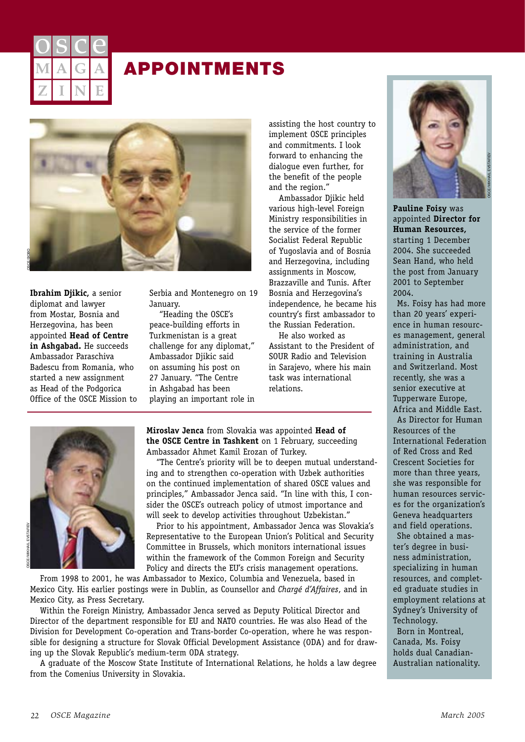

## **APPOINTMENTS**



Ibrahim Djikic, a senior diplomat and lawyer from Mostar, Bosnia and Herzegovina, has been appointed Head of Centre in Ashqabad. He succeeds Ambassador Paraschiva Badescu from Romania, who started a new assignment as Head of the Podgorica Office of the OSCE Mission to Serbia and Montenegro on 19 January.

"Heading the OSCE's peace-building efforts in Turkmenistan is a great challenge for any diplomat," Ambassador Djikic said on assuming his post on 27 January. "The Centre in Ashqabad has been plaving an important role in assisting the host country to implement OSCE principles and commitments. I look forward to enhancing the dialoque even further, for the benefit of the people and the region."

Ambassador Djikic held various high-level Foreign Ministry responsibilities in the service of the former Socialist Federal Republic of Yugoslavia and of Bosnia and Herzegovina, including assignments in Moscow, Brazzaville and Tunis, After Bosnia and Herzegovina's independence, he became his country's first ambassador to the Russian Federation.

He also worked as Assistant to the President of SOUR Radio and Television in Sarajevo, where his main task was international relations.



Miroslav Jenca from Slovakia was appointed Head of the OSCE Centre in Tashkent on 1 February, succeeding Ambassador Ahmet Kamil Erozan of Turkey.

"The Centre's priority will be to deepen mutual understanding and to strengthen co-operation with Uzbek authorities on the continued implementation of shared OSCE values and principles." Ambassador Jenca said. "In line with this. I consider the OSCE's outreach policy of utmost importance and will seek to develop activities throughout Uzbekistan."

Prior to his appointment, Ambassador Jenca was Slovakia's Representative to the European Union's Political and Security Committee in Brussels, which monitors international issues within the framework of the Common Foreign and Security Policy and directs the EU's crisis management operations.

From 1998 to 2001, he was Ambassador to Mexico, Columbia and Venezuela, based in Mexico City. His earlier postings were in Dublin, as Counsellor and Chargé d'Affaires, and in Mexico City, as Press Secretary.

Within the Foreign Ministry, Ambassador Jenca served as Deputy Political Director and Director of the department responsible for EU and NATO countries. He was also Head of the Division for Development Co-operation and Trans-border Co-operation, where he was responsible for designing a structure for Slovak Official Development Assistance (ODA) and for drawing up the Slovak Republic's medium-term ODA strategy.

A graduate of the Moscow State Institute of International Relations, he holds a law degree from the Comenius University in Slovakia.



**Pauline Foisy was** appointed Director for Human Resources, starting 1 December 2004. She succeeded Sean Hand, who held the post from January 2001 to September 2004.

Ms. Foisy has had more than 20 years' experience in human resources management, general administration, and training in Australia and Switzerland, Most recently, she was a senior executive at Tupperware Europe, Africa and Middle East. As Director for Human Resources of the International Federation of Red Cross and Red Crescent Societies for more than three years, she was responsible for human resources services for the organization's Geneva headquarters and field operations.

She obtained a master's degree in business administration. specializing in human resources, and completed graduate studies in employment relations at Sydney's University of Technology. Born in Montreal. Canada, Ms. Foisy holds dual Canadian-Australian nationality.